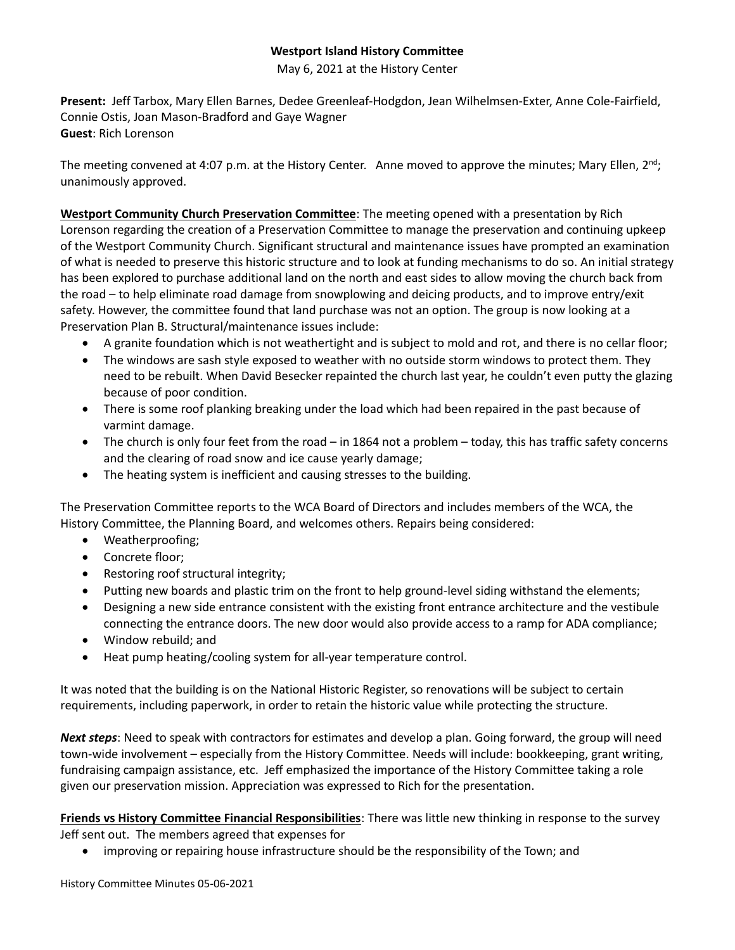## **Westport Island History Committee**

May 6, 2021 at the History Center

**Present:** Jeff Tarbox, Mary Ellen Barnes, Dedee Greenleaf-Hodgdon, Jean Wilhelmsen-Exter, Anne Cole-Fairfield, Connie Ostis, Joan Mason-Bradford and Gaye Wagner **Guest**: Rich Lorenson

The meeting convened at 4:07 p.m. at the History Center. Anne moved to approve the minutes; Mary Ellen,  $2^{nd}$ ; unanimously approved.

**Westport Community Church Preservation Committee**: The meeting opened with a presentation by Rich Lorenson regarding the creation of a Preservation Committee to manage the preservation and continuing upkeep of the Westport Community Church. Significant structural and maintenance issues have prompted an examination of what is needed to preserve this historic structure and to look at funding mechanisms to do so. An initial strategy has been explored to purchase additional land on the north and east sides to allow moving the church back from the road – to help eliminate road damage from snowplowing and deicing products, and to improve entry/exit safety. However, the committee found that land purchase was not an option. The group is now looking at a Preservation Plan B. Structural/maintenance issues include:

- A granite foundation which is not weathertight and is subject to mold and rot, and there is no cellar floor;
- The windows are sash style exposed to weather with no outside storm windows to protect them. They need to be rebuilt. When David Besecker repainted the church last year, he couldn't even putty the glazing because of poor condition.
- There is some roof planking breaking under the load which had been repaired in the past because of varmint damage.
- The church is only four feet from the road in 1864 not a problem today, this has traffic safety concerns and the clearing of road snow and ice cause yearly damage;
- The heating system is inefficient and causing stresses to the building.

The Preservation Committee reports to the WCA Board of Directors and includes members of the WCA, the History Committee, the Planning Board, and welcomes others. Repairs being considered:

- Weatherproofing;
- Concrete floor;
- Restoring roof structural integrity;
- Putting new boards and plastic trim on the front to help ground-level siding withstand the elements;
- Designing a new side entrance consistent with the existing front entrance architecture and the vestibule connecting the entrance doors. The new door would also provide access to a ramp for ADA compliance;
- Window rebuild; and
- Heat pump heating/cooling system for all-year temperature control.

It was noted that the building is on the National Historic Register, so renovations will be subject to certain requirements, including paperwork, in order to retain the historic value while protecting the structure.

*Next steps*: Need to speak with contractors for estimates and develop a plan. Going forward, the group will need town-wide involvement – especially from the History Committee. Needs will include: bookkeeping, grant writing, fundraising campaign assistance, etc. Jeff emphasized the importance of the History Committee taking a role given our preservation mission. Appreciation was expressed to Rich for the presentation.

**Friends vs History Committee Financial Responsibilities**: There was little new thinking in response to the survey Jeff sent out. The members agreed that expenses for

• improving or repairing house infrastructure should be the responsibility of the Town; and

History Committee Minutes 05-06-2021